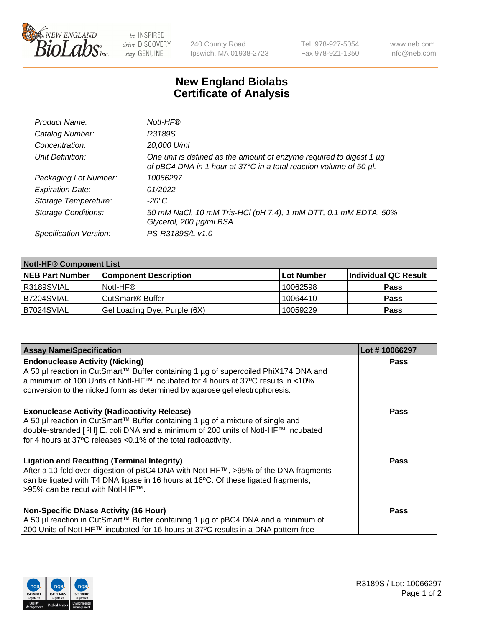

 $be$  INSPIRED drive DISCOVERY stay GENUINE

240 County Road Ipswich, MA 01938-2723 Tel 978-927-5054 Fax 978-921-1350 www.neb.com info@neb.com

## **New England Biolabs Certificate of Analysis**

| Product Name:              | Notl-HF®                                                                                                                                  |
|----------------------------|-------------------------------------------------------------------------------------------------------------------------------------------|
| Catalog Number:            | R3189S                                                                                                                                    |
| Concentration:             | 20,000 U/ml                                                                                                                               |
| Unit Definition:           | One unit is defined as the amount of enzyme required to digest 1 µg<br>of pBC4 DNA in 1 hour at 37°C in a total reaction volume of 50 µl. |
| Packaging Lot Number:      | 10066297                                                                                                                                  |
| <b>Expiration Date:</b>    | 01/2022                                                                                                                                   |
| Storage Temperature:       | $-20^{\circ}$ C                                                                                                                           |
| <b>Storage Conditions:</b> | 50 mM NaCl, 10 mM Tris-HCl (pH 7.4), 1 mM DTT, 0.1 mM EDTA, 50%<br>Glycerol, 200 µg/ml BSA                                                |
| Specification Version:     | PS-R3189S/L v1.0                                                                                                                          |

| <b>Notl-HF® Component List</b> |                              |            |                      |  |  |
|--------------------------------|------------------------------|------------|----------------------|--|--|
| <b>NEB Part Number</b>         | <b>Component Description</b> | Lot Number | Individual QC Result |  |  |
| R3189SVIAL                     | Notl-HF®                     | 10062598   | <b>Pass</b>          |  |  |
| B7204SVIAL                     | CutSmart <sup>®</sup> Buffer | 10064410   | <b>Pass</b>          |  |  |
| B7024SVIAL                     | Gel Loading Dye, Purple (6X) | 10059229   | <b>Pass</b>          |  |  |

| <b>Assay Name/Specification</b>                                                                                                                                                                                                                                                                 | Lot #10066297 |
|-------------------------------------------------------------------------------------------------------------------------------------------------------------------------------------------------------------------------------------------------------------------------------------------------|---------------|
| <b>Endonuclease Activity (Nicking)</b><br>A 50 µl reaction in CutSmart™ Buffer containing 1 µg of supercoiled PhiX174 DNA and                                                                                                                                                                   | <b>Pass</b>   |
| a minimum of 100 Units of Notl-HF™ incubated for 4 hours at 37°C results in <10%<br>conversion to the nicked form as determined by agarose gel electrophoresis.                                                                                                                                 |               |
| <b>Exonuclease Activity (Radioactivity Release)</b><br>A 50 µl reaction in CutSmart™ Buffer containing 1 µg of a mixture of single and<br> double-stranded [3H] E. coli DNA and a minimum of 200 units of Notl-HF™ incubated<br>for 4 hours at 37°C releases < 0.1% of the total radioactivity. | <b>Pass</b>   |
| <b>Ligation and Recutting (Terminal Integrity)</b><br>After a 10-fold over-digestion of pBC4 DNA with Notl-HF™, >95% of the DNA fragments<br>can be ligated with T4 DNA ligase in 16 hours at 16°C. Of these ligated fragments,<br>>95% can be recut with Notl-HF™.                             | <b>Pass</b>   |
| <b>Non-Specific DNase Activity (16 Hour)</b><br>A 50 µl reaction in CutSmart™ Buffer containing 1 µg of pBC4 DNA and a minimum of                                                                                                                                                               | <b>Pass</b>   |
| 200 Units of Notl-HF™ incubated for 16 hours at 37°C results in a DNA pattern free                                                                                                                                                                                                              |               |